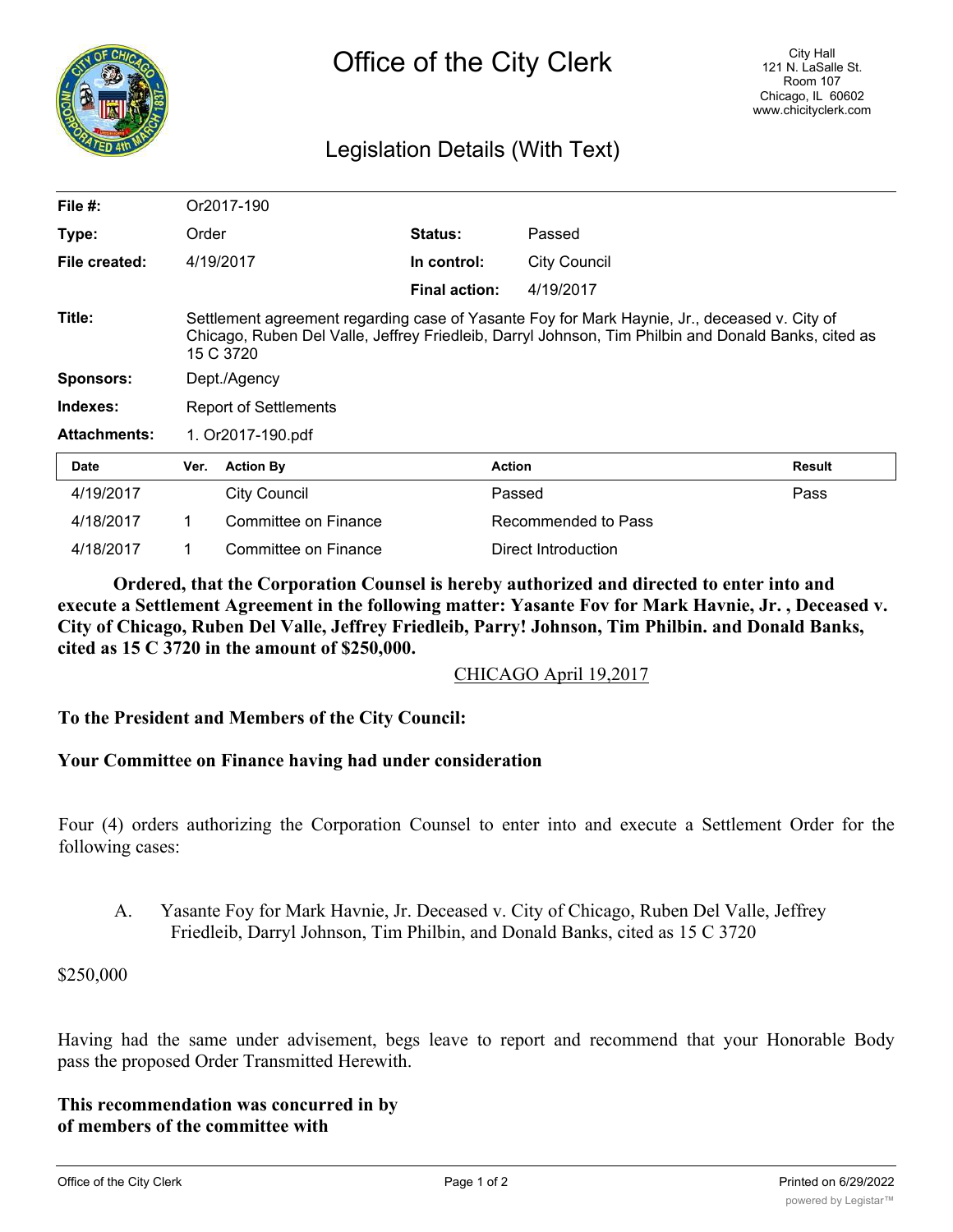

## Legislation Details (With Text)

| File $#$ :          |                                                                                                                                                                                                                  | Or2017-190           |                      |                     |               |
|---------------------|------------------------------------------------------------------------------------------------------------------------------------------------------------------------------------------------------------------|----------------------|----------------------|---------------------|---------------|
| Type:               | Order                                                                                                                                                                                                            |                      | <b>Status:</b>       | Passed              |               |
| File created:       | 4/19/2017                                                                                                                                                                                                        |                      | In control:          | <b>City Council</b> |               |
|                     |                                                                                                                                                                                                                  |                      | <b>Final action:</b> | 4/19/2017           |               |
| Title:              | Settlement agreement regarding case of Yasante Foy for Mark Haynie, Jr., deceased v. City of<br>Chicago, Ruben Del Valle, Jeffrey Friedleib, Darryl Johnson, Tim Philbin and Donald Banks, cited as<br>15 C 3720 |                      |                      |                     |               |
| Sponsors:           | Dept./Agency                                                                                                                                                                                                     |                      |                      |                     |               |
| Indexes:            | Report of Settlements                                                                                                                                                                                            |                      |                      |                     |               |
| <b>Attachments:</b> | 1. Or2017-190.pdf                                                                                                                                                                                                |                      |                      |                     |               |
| <b>Date</b>         | Ver.                                                                                                                                                                                                             | <b>Action By</b>     |                      | <b>Action</b>       | <b>Result</b> |
| 4/19/2017           |                                                                                                                                                                                                                  | <b>City Council</b>  |                      | Passed              | Pass          |
| 4/18/2017           | 1.                                                                                                                                                                                                               | Committee on Finance |                      | Recommended to Pass |               |
| 4/18/2017           |                                                                                                                                                                                                                  | Committee on Finance |                      | Direct Introduction |               |

**Ordered, that the Corporation Counsel is hereby authorized and directed to enter into and execute a Settlement Agreement in the following matter: Yasante Fov for Mark Havnie, Jr. , Deceased v. City of Chicago, Ruben Del Valle, Jeffrey Friedleib, Parry! Johnson, Tim Philbin. and Donald Banks, cited as 15 C 3720 in the amount of \$250,000.**

CHICAGO April 19,2017

## **To the President and Members of the City Council:**

## **Your Committee on Finance having had under consideration**

Four (4) orders authorizing the Corporation Counsel to enter into and execute a Settlement Order for the following cases:

A. Yasante Foy for Mark Havnie, Jr. Deceased v. City of Chicago, Ruben Del Valle, Jeffrey Friedleib, Darryl Johnson, Tim Philbin, and Donald Banks, cited as 15 C 3720

## \$250,000

Having had the same under advisement, begs leave to report and recommend that your Honorable Body pass the proposed Order Transmitted Herewith.

**This recommendation was concurred in by of members of the committee with**